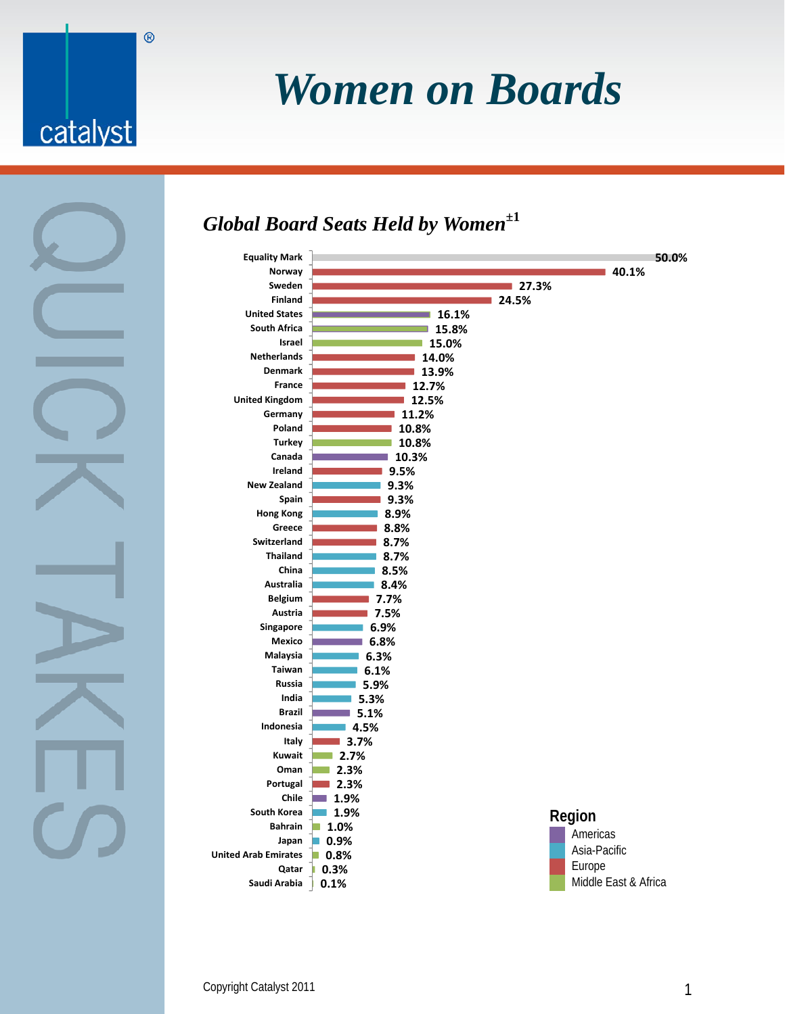$^{\circ}$ 

catalyst



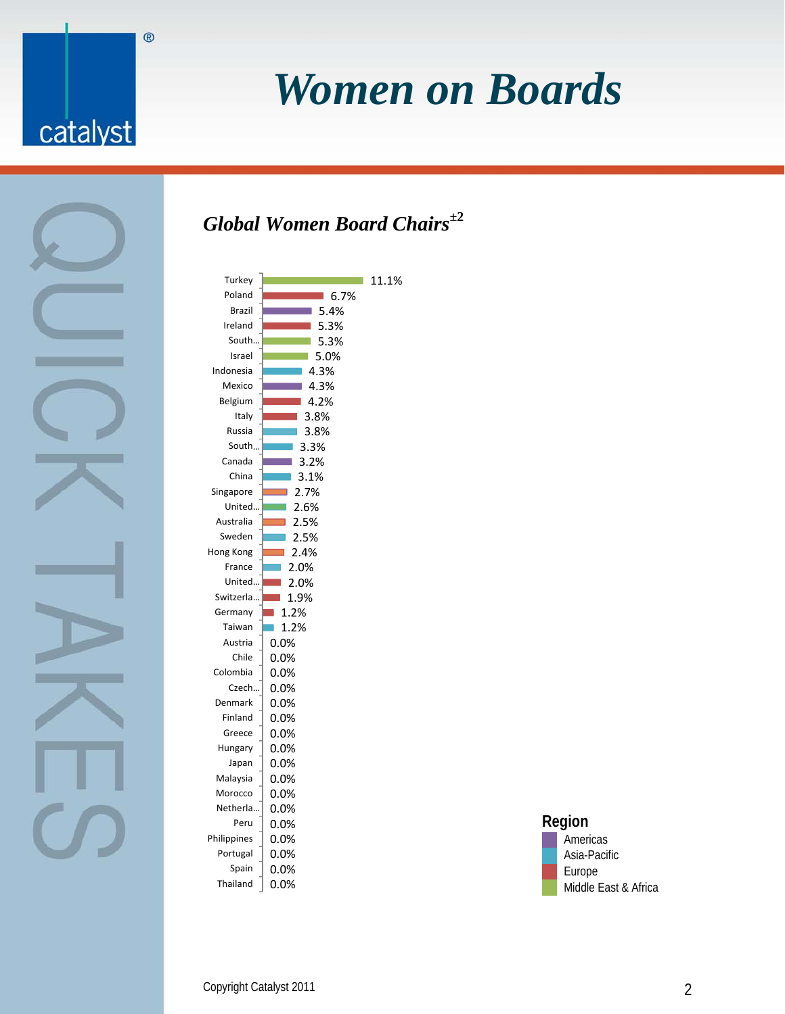$^{\circledR}$ 

catalyst

### *Global Women Board Chairs***±2**



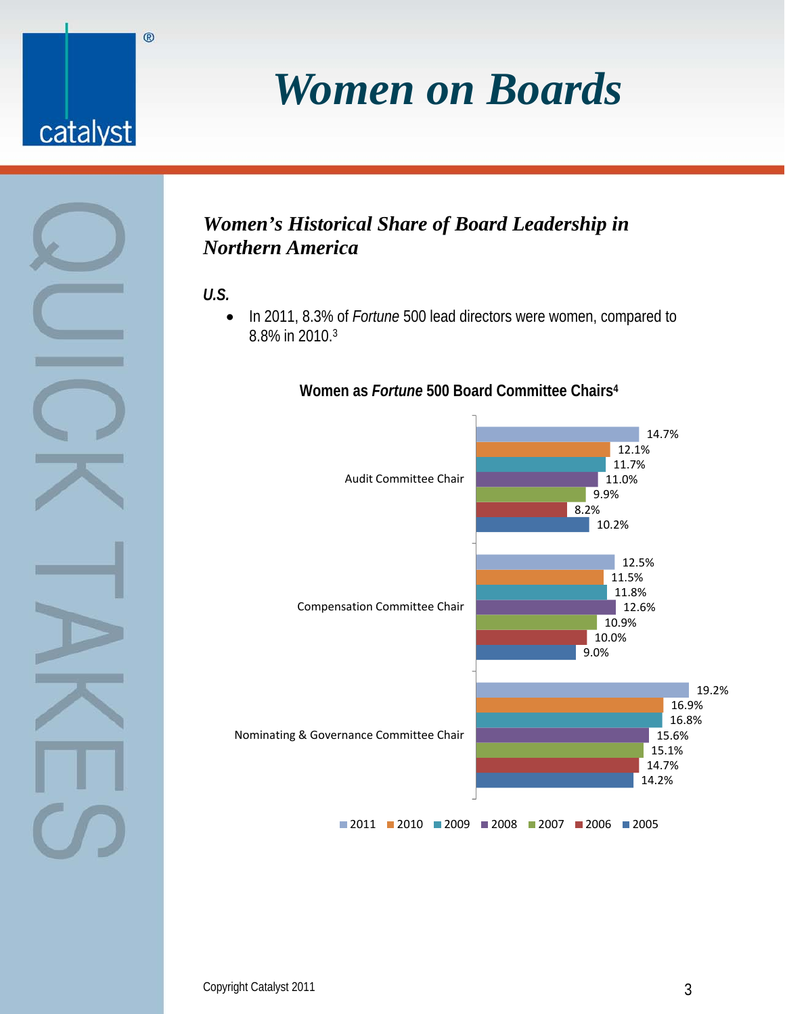

### *Women's Historical Share of Board Leadership in Northern America*

*U.S.* 

• In 2011, 8.3% of *Fortune* 500 lead directors were women, compared to 8.8% in 2010.3



#### **Women as** *Fortune* **500 Board Committee Chairs4**

 $\circledR$ 

catalyst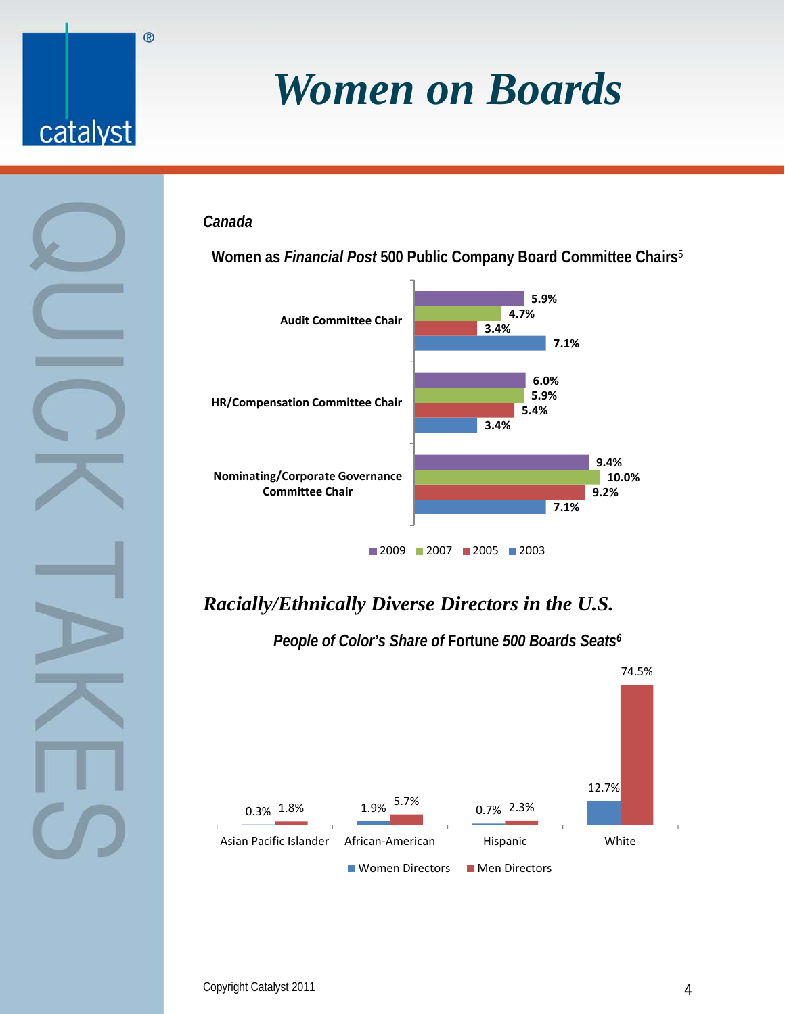*Canada* 

 $^{\circledR}$ 

catalyst

**Women as** *Financial Post* **500 Public Company Board Committee Chairs**<sup>5</sup>



### *Racially/Ethnically Diverse Directors in the U.S.*



*People of Color's Share of* **Fortune** *500 Boards Seats6*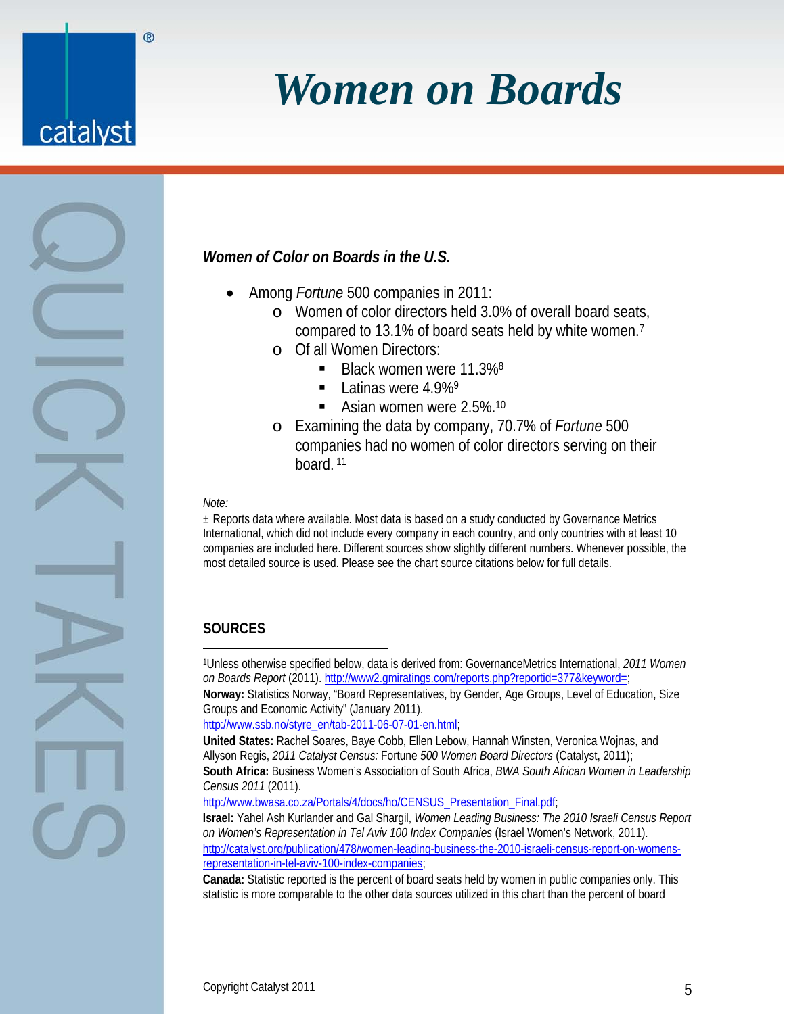#### *Women of Color on Boards in the U.S.*

- Among *Fortune* 500 companies in 2011:
	- o Women of color directors held 3.0% of overall board seats, compared to 13.1% of board seats held by white women.7
	- o Of all Women Directors:
		- Black women were 11.3%8
		- $\blacksquare$  Latinas were 4.9%<sup>9</sup>
		- Asian women were 2.5%.<sup>10</sup>
	- o Examining the data by company, 70.7% of *Fortune* 500 companies had no women of color directors serving on their board. 11

#### *Note:*

**R** 

catalvst

± Reports data where available. Most data is based on a study conducted by Governance Metrics International, which did not include every company in each country, and only countries with at least 10 companies are included here. Different sources show slightly different numbers. Whenever possible, the most detailed source is used. Please see the chart source citations below for full details.

#### **SOURCES**

 $\overline{a}$ 

1Unless otherwise specified below, data is derived from: GovernanceMetrics International, *2011 Women on Boards Report* (2011). http://www2.gmiratings.com/reports.php?reportid=377&keyword=; **Norway:** Statistics Norway, "Board Representatives, by Gender, Age Groups, Level of Education, Size Groups and Economic Activity" (January 2011).

http://www.ssb.no/styre\_en/tab-2011-06-07-01-en.html;

**United States:** Rachel Soares, Baye Cobb, Ellen Lebow, Hannah Winsten, Veronica Wojnas, and Allyson Regis, *2011 Catalyst Census:* Fortune *500 Women Board Directors* (Catalyst, 2011); **South Africa:** Business Women's Association of South Africa, *BWA South African Women in Leadership Census 2011* (2011).

http://www.bwasa.co.za/Portals/4/docs/ho/CENSUS\_Presentation\_Final.pdf;

**Israel:** Yahel Ash Kurlander and Gal Shargil, *Women Leading Business: The 2010 Israeli Census Report on Women's Representation in Tel Aviv 100 Index Companies* (Israel Women's Network, 2011). http://catalyst.org/publication/478/women-leading-business-the-2010-israeli-census-report-on-womensrepresentation-in-tel-aviv-100-index-companies;

**Canada:** Statistic reported is the percent of board seats held by women in public companies only. This statistic is more comparable to the other data sources utilized in this chart than the percent of board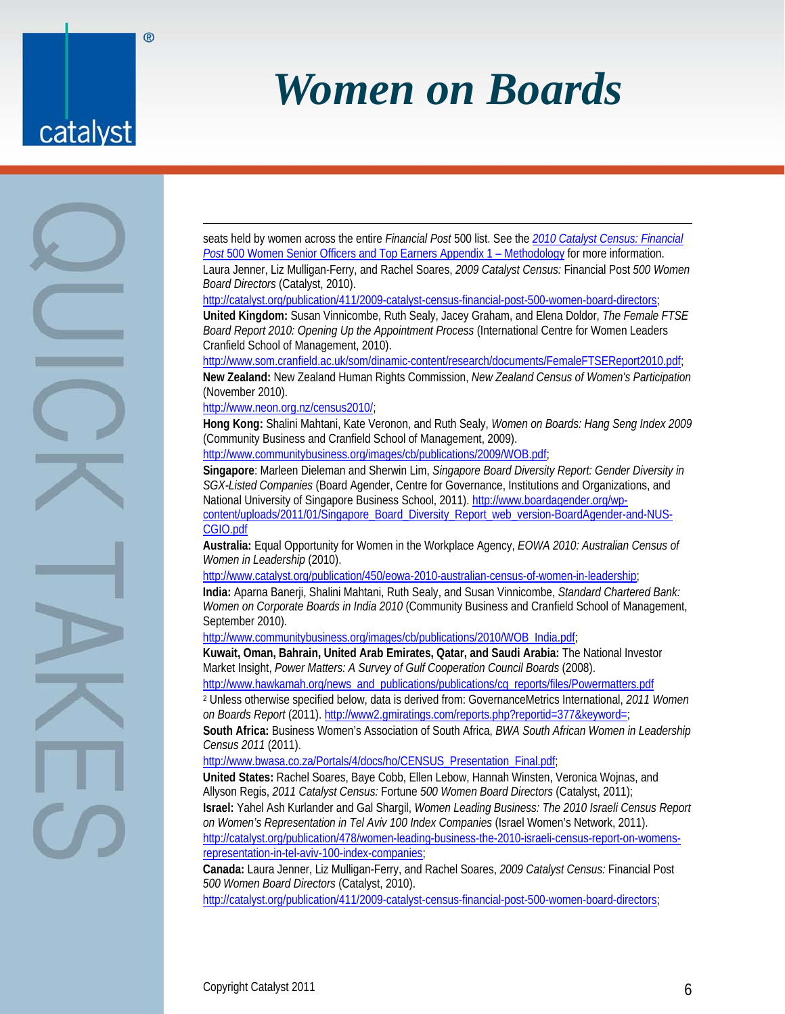®

catalvst

 seats held by women across the entire *Financial Post* 500 list. See the *2010 Catalyst Census: Financial Post* 500 Women Senior Officers and Top Earners Appendix 1 – Methodology for more information. Laura Jenner, Liz Mulligan-Ferry, and Rachel Soares, *2009 Catalyst Census:* Financial Post *500 Women Board Directors* (Catalyst, 2010).

http://catalyst.org/publication/411/2009-catalyst-census-financial-post-500-women-board-directors;

**United Kingdom:** Susan Vinnicombe, Ruth Sealy, Jacey Graham, and Elena Doldor, *The Female FTSE Board Report 2010: Opening Up the Appointment Process* (International Centre for Women Leaders Cranfield School of Management, 2010).

http://www.som.cranfield.ac.uk/som/dinamic-content/research/documents/FemaleFTSEReport2010.pdf; **New Zealand:** New Zealand Human Rights Commission, *New Zealand Census of Women's Participation* (November 2010).

http://www.neon.org.nz/census2010/;

**Hong Kong:** Shalini Mahtani, Kate Veronon, and Ruth Sealy, *Women on Boards: Hang Seng Index 2009* (Community Business and Cranfield School of Management, 2009).

http://www.communitybusiness.org/images/cb/publications/2009/WOB.pdf;

**Singapore**: Marleen Dieleman and Sherwin Lim, *Singapore Board Diversity Report: Gender Diversity in SGX-Listed Companies* (Board Agender, Centre for Governance, Institutions and Organizations, and National University of Singapore Business School, 2011). http://www.boardagender.org/wpcontent/uploads/2011/01/Singapore\_Board\_Diversity\_Report\_web\_version-BoardAgender-and-NUS-CGIO.pdf

**Australia:** Equal Opportunity for Women in the Workplace Agency, *EOWA 2010: Australian Census of Women in Leadership* (2010).

http://www.catalyst.org/publication/450/eowa-2010-australian-census-of-women-in-leadership;

**India:** Aparna Banerji, Shalini Mahtani, Ruth Sealy, and Susan Vinnicombe, *Standard Chartered Bank: Women on Corporate Boards in India 2010* (Community Business and Cranfield School of Management, September 2010).

http://www.communitybusiness.org/images/cb/publications/2010/WOB\_India.pdf;

**Kuwait, Oman, Bahrain, United Arab Emirates, Qatar, and Saudi Arabia:** The National Investor Market Insight, *Power Matters: A Survey of Gulf Cooperation Council Boards* (2008).

http://www.hawkamah.org/news\_and\_publications/publications/cg\_reports/files/Powermatters.pdf

2 Unless otherwise specified below, data is derived from: GovernanceMetrics International, *2011 Women on Boards Report* (2011). http://www2.gmiratings.com/reports.php?reportid=377&keyword=;

**South Africa:** Business Women's Association of South Africa, *BWA South African Women in Leadership Census 2011* (2011).

http://www.bwasa.co.za/Portals/4/docs/ho/CENSUS\_Presentation\_Final.pdf;

**United States:** Rachel Soares, Baye Cobb, Ellen Lebow, Hannah Winsten, Veronica Wojnas, and Allyson Regis, *2011 Catalyst Census:* Fortune *500 Women Board Directors* (Catalyst, 2011); **Israel:** Yahel Ash Kurlander and Gal Shargil, *Women Leading Business: The 2010 Israeli Census Report on Women's Representation in Tel Aviv 100 Index Companies* (Israel Women's Network, 2011). http://catalyst.org/publication/478/women-leading-business-the-2010-israeli-census-report-on-womensrepresentation-in-tel-aviv-100-index-companies;

**Canada:** Laura Jenner, Liz Mulligan-Ferry, and Rachel Soares, *2009 Catalyst Census:* Financial Post *500 Women Board Directors* (Catalyst, 2010).

http://catalyst.org/publication/411/2009-catalyst-census-financial-post-500-women-board-directors;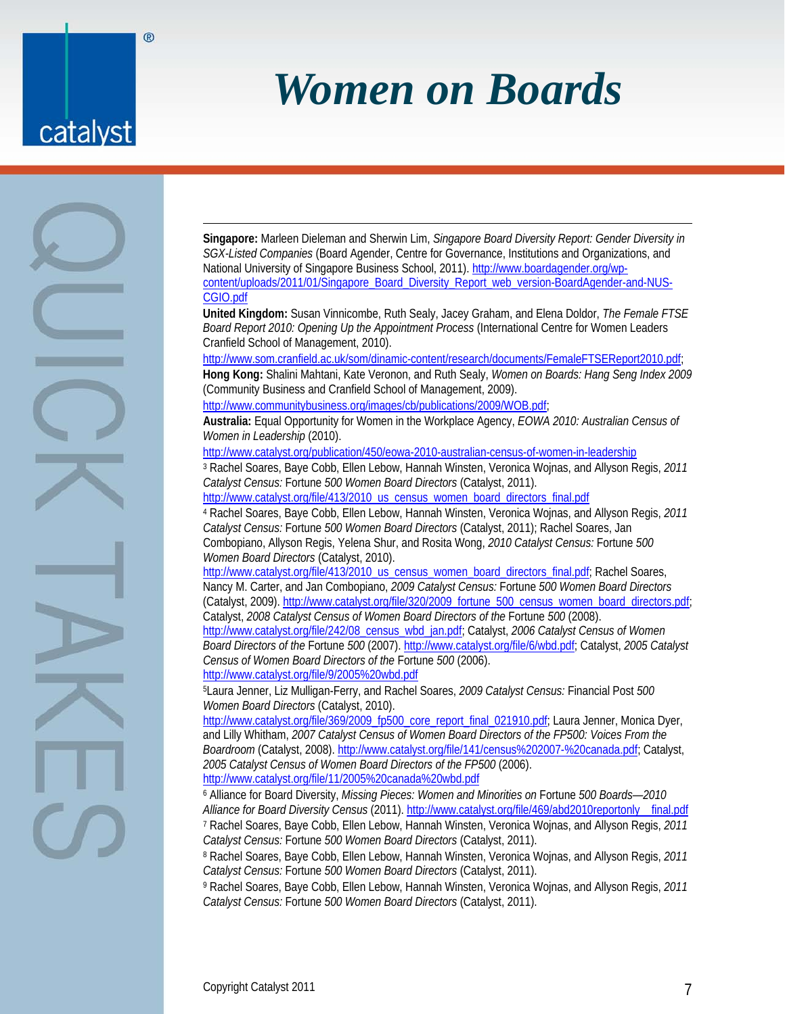**Singapore:** Marleen Dieleman and Sherwin Lim, *Singapore Board Diversity Report: Gender Diversity in SGX-Listed Companies* (Board Agender, Centre for Governance, Institutions and Organizations, and National University of Singapore Business School, 2011). http://www.boardagender.org/wpcontent/uploads/2011/01/Singapore\_Board\_Diversity\_Report\_web\_version-BoardAgender-and-NUS-CGIO.pdf **United Kingdom:** Susan Vinnicombe, Ruth Sealy, Jacey Graham, and Elena Doldor, *The Female FTSE Board Report 2010: Opening Up the Appointment Process* (International Centre for Women Leaders Cranfield School of Management, 2010). http://www.som.cranfield.ac.uk/som/dinamic-content/research/documents/FemaleFTSEReport2010.pdf; **Hong Kong:** Shalini Mahtani, Kate Veronon, and Ruth Sealy, *Women on Boards: Hang Seng Index 2009* (Community Business and Cranfield School of Management, 2009).

http://www.communitybusiness.org/images/cb/publications/2009/WOB.pdf;

**Australia:** Equal Opportunity for Women in the Workplace Agency, *EOWA 2010: Australian Census of Women in Leadership* (2010).

http://www.catalyst.org/publication/450/eowa-2010-australian-census-of-women-in-leadership

3 Rachel Soares, Baye Cobb, Ellen Lebow, Hannah Winsten, Veronica Wojnas, and Allyson Regis, *2011 Catalyst Census:* Fortune *500 Women Board Directors* (Catalyst, 2011).

http://www.catalyst.org/file/413/2010\_us\_census\_women\_board\_directors\_final.pdf

4 Rachel Soares, Baye Cobb, Ellen Lebow, Hannah Winsten, Veronica Wojnas, and Allyson Regis, *2011 Catalyst Census:* Fortune *500 Women Board Directors* (Catalyst, 2011); Rachel Soares, Jan Combopiano, Allyson Regis, Yelena Shur, and Rosita Wong, *2010 Catalyst Census:* Fortune *500 Women Board Directors* (Catalyst, 2010).

http://www.catalyst.org/file/413/2010\_us\_census\_women\_board\_directors\_final.pdf; Rachel Soares, Nancy M. Carter, and Jan Combopiano, *2009 Catalyst Census:* Fortune *500 Women Board Directors* (Catalyst, 2009). http://www.catalyst.org/file/320/2009\_fortune\_500\_census\_women\_board\_directors.pdf; Catalyst, *2008 Catalyst Census of Women Board Directors of the* Fortune *500* (2008).

http://www.catalyst.org/file/242/08\_census\_wbd\_jan.pdf; Catalyst, *2006 Catalyst Census of Women Board Directors of the* Fortune *500* (2007). http://www.catalyst.org/file/6/wbd.pdf; Catalyst, *2005 Catalyst Census of Women Board Directors of the* Fortune *500* (2006). http://www.catalyst.org/file/9/2005%20wbd.pdf

5Laura Jenner, Liz Mulligan-Ferry, and Rachel Soares, *2009 Catalyst Census:* Financial Post *500 Women Board Directors* (Catalyst, 2010).

http://www.catalyst.org/file/369/2009\_fp500\_core\_report\_final\_021910.pdf; Laura Jenner, Monica Dyer, and Lilly Whitham, *2007 Catalyst Census of Women Board Directors of the FP500: Voices From the Boardroom* (Catalyst, 2008). http://www.catalyst.org/file/141/census%202007-%20canada.pdf; Catalyst, *2005 Catalyst Census of Women Board Directors of the FP500* (2006). http://www.catalyst.org/file/11/2005%20canada%20wbd.pdf

6 Alliance for Board Diversity, *Missing Pieces: Women and Minorities on* Fortune *500 Boards—2010 Alliance for Board Diversity Census* (2011). http://www.catalyst.org/file/469/abd2010reportonly\_\_final.pdf 7 Rachel Soares, Baye Cobb, Ellen Lebow, Hannah Winsten, Veronica Wojnas, and Allyson Regis, *<sup>2011</sup> Catalyst Census:* Fortune *500 Women Board Directors* (Catalyst, 2011).

8 Rachel Soares, Baye Cobb, Ellen Lebow, Hannah Winsten, Veronica Wojnas, and Allyson Regis, *2011 Catalyst Census:* Fortune *500 Women Board Directors* (Catalyst, 2011).

9 Rachel Soares, Baye Cobb, Ellen Lebow, Hannah Winsten, Veronica Wojnas, and Allyson Regis, *2011 Catalyst Census:* Fortune *500 Women Board Directors* (Catalyst, 2011).

catalvst

 $\overline{a}$